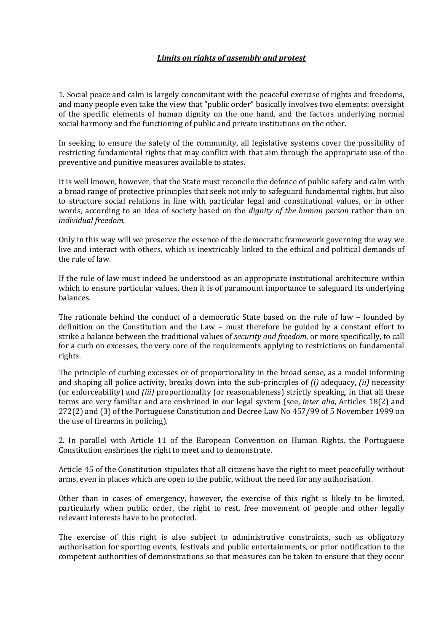## *Limits on rights of assembly and protest*

1. Social peace and calm is largely concomitant with the peaceful exercise of rights and freedoms, and many people even take the view that "public order" basically involves two elements: oversight of the specific elements of human dignity on the one hand, and the factors underlying normal social harmony and the functioning of public and private institutions on the other.

In seeking to ensure the safety of the community, all legislative systems cover the possibility of restricting fundamental rights that may conflict with that aim through the appropriate use of the preventive and punitive measures available to states.

It is well known, however, that the State must reconcile the defence of public safety and calm with a broad range of protective principles that seek not only to safeguard fundamental rights, but also to structure social relations in line with particular legal and constitutional values, or in other words, according to an idea of society based on the *dignity of the human person* rather than on *individual freedom*.

Only in this way will we preserve the essence of the democratic framework governing the way we live and interact with others, which is inextricably linked to the ethical and political demands of the rule of law.

If the rule of law must indeed be understood as an appropriate institutional architecture within which to ensure particular values, then it is of paramount importance to safeguard its underlying balances.

The rationale behind the conduct of a democratic State based on the rule of law – founded by definition on the Constitution and the Law – must therefore be guided by a constant effort to strike a balance between the traditional values of *security and freedom*, or more specifically, to call for a curb on excesses, the very core of the requirements applying to restrictions on fundamental rights.

The principle of curbing excesses or of proportionality in the broad sense, as a model informing and shaping all police activity, breaks down into the sub-principles of *(i)* adequacy, *(ii)* necessity (or enforceability) and *(iii)* proportionality (or reasonableness) strictly speaking, in that all these terms are very familiar and are enshrined in our legal system (see, *inter alia*, Articles 18(2) and 272(2) and (3) of the Portuguese Constitution and Decree Law No 457/99 of 5 November 1999 on the use of firearms in policing).

2. In parallel with Article 11 of the European Convention on Human Rights, the Portuguese Constitution enshrines the right to meet and to demonstrate.

Article 45 of the Constitution stipulates that all citizens have the right to meet peacefully without arms, even in places which are open to the public, without the need for any authorisation.

Other than in cases of emergency, however, the exercise of this right is likely to be limited, particularly when public order, the right to rest, free movement of people and other legally relevant interests have to be protected.

The exercise of this right is also subject to administrative constraints, such as obligatory authorisation for sporting events, festivals and public entertainments, or prior notification to the competent authorities of demonstrations so that measures can be taken to ensure that they occur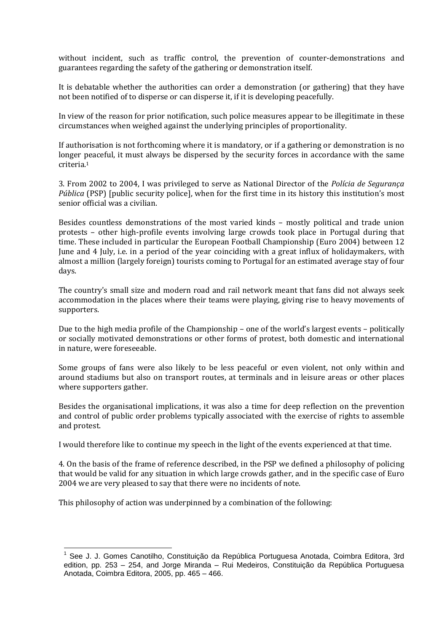without incident, such as traffic control, the prevention of counter-demonstrations and guarantees regarding the safety of the gathering or demonstration itself.

It is debatable whether the authorities can order a demonstration (or gathering) that they have not been notified of to disperse or can disperse it, if it is developing peacefully.

In view of the reason for prior notification, such police measures appear to be illegitimate in these circumstances when weighed against the underlying principles of proportionality.

If authorisation is not forthcoming where it is mandatory, or if a gathering or demonstration is no longer peaceful, it must always be dispersed by the security forces in accordance with the same criteria. 1

3. From 2002 to 2004, I was privileged to serve as National Director of the *Polícia de Segurança Pública* (PSP) [public security police], when for the first time in its history this institution's most senior official was a civilian.

Besides countless demonstrations of the most varied kinds – mostly political and trade union protests – other high-profile events involving large crowds took place in Portugal during that time. These included in particular the European Football Championship (Euro 2004) between 12 June and 4 July, i.e. in a period of the year coinciding with a great influx of holidaymakers, with almost a million (largely foreign) tourists coming to Portugal for an estimated average stay of four days.

The country's small size and modern road and rail network meant that fans did not always seek accommodation in the places where their teams were playing, giving rise to heavy movements of supporters.

Due to the high media profile of the Championship – one of the world's largest events – politically or socially motivated demonstrations or other forms of protest, both domestic and international in nature, were foreseeable.

Some groups of fans were also likely to be less peaceful or even violent, not only within and around stadiums but also on transport routes, at terminals and in leisure areas or other places where supporters gather.

Besides the organisational implications, it was also a time for deep reflection on the prevention and control of public order problems typically associated with the exercise of rights to assemble and protest.

I would therefore like to continue my speech in the light of the events experienced at that time.

4. On the basis of the frame of reference described, in the PSP we defined a philosophy of policing that would be valid for any situation in which large crowds gather, and in the specific case of Euro 2004 we are very pleased to say that there were no incidents of note.

This philosophy of action was underpinned by a combination of the following:

 $\overline{a}$ 

<sup>1</sup> See J. J. Gomes Canotilho, Constituição da República Portuguesa Anotada, Coimbra Editora, 3rd edition, pp. 253 – 254, and Jorge Miranda – Rui Medeiros, Constituição da República Portuguesa Anotada, Coimbra Editora, 2005, pp. 465 – 466.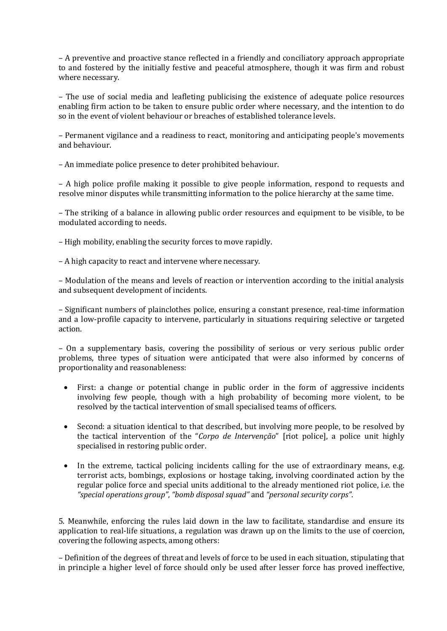– A preventive and proactive stance reflected in a friendly and conciliatory approach appropriate to and fostered by the initially festive and peaceful atmosphere, though it was firm and robust where necessary.

– The use of social media and leafleting publicising the existence of adequate police resources enabling firm action to be taken to ensure public order where necessary, and the intention to do so in the event of violent behaviour or breaches of established tolerance levels.

– Permanent vigilance and a readiness to react, monitoring and anticipating people's movements and behaviour.

– An immediate police presence to deter prohibited behaviour.

– A high police profile making it possible to give people information, respond to requests and resolve minor disputes while transmitting information to the police hierarchy at the same time.

– The striking of a balance in allowing public order resources and equipment to be visible, to be modulated according to needs.

- High mobility, enabling the security forces to move rapidly.
- A high capacity to react and intervene where necessary.

– Modulation of the means and levels of reaction or intervention according to the initial analysis and subsequent development of incidents.

– Significant numbers of plainclothes police, ensuring a constant presence, real-time information and a low-profile capacity to intervene, particularly in situations requiring selective or targeted action.

– On a supplementary basis, covering the possibility of serious or very serious public order problems, three types of situation were anticipated that were also informed by concerns of proportionality and reasonableness:

- First: a change or potential change in public order in the form of aggressive incidents involving few people, though with a high probability of becoming more violent, to be resolved by the tactical intervention of small specialised teams of officers.
- Second: a situation identical to that described, but involving more people, to be resolved by the tactical intervention of the "*Corpo de Intervenção*" [riot police], a police unit highly specialised in restoring public order.
- In the extreme, tactical policing incidents calling for the use of extraordinary means, e.g. terrorist acts, bombings, explosions or hostage taking, involving coordinated action by the regular police force and special units additional to the already mentioned riot police, i.e. the *"special operations group"*, *"bomb disposal squad"* and *"personal security corps"*.

5. Meanwhile, enforcing the rules laid down in the law to facilitate, standardise and ensure its application to real-life situations, a regulation was drawn up on the limits to the use of coercion, covering the following aspects, among others:

– Definition of the degrees of threat and levels of force to be used in each situation, stipulating that in principle a higher level of force should only be used after lesser force has proved ineffective,